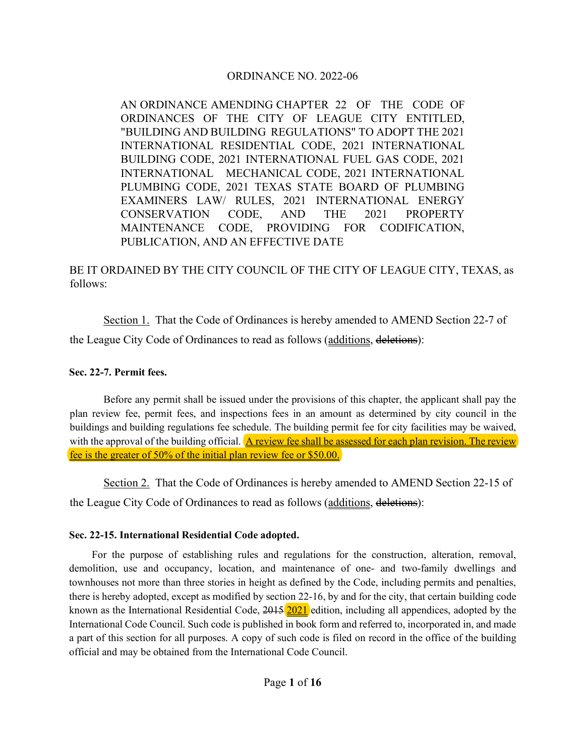# ORDINANCE NO. 2022-06

AN ORDINANCE AMENDING CHAPTER 22 OF THE CODE OF ORDINANCES OF THE CITY OF LEAGUE CITY ENTITLED, "BUILDING AND BUILDING REGULATIONS" TO ADOPT THE 2021 INTERNATIONAL RESIDENTIAL CODE, 2021 INTERNATIONAL BUILDING CODE, 2021 INTERNATIONAL FUEL GAS CODE, 2021 INTERNATIONAL MECHANICAL CODE, 2021 INTERNATIONAL PLUMBING CODE, 2021 TEXAS STATE BOARD OF PLUMBING EXAMINERS LAW/ RULES, 2021 INTERNATIONAL ENERGY CONSERVATION CODE, AND THE 2021 PROPERTY MAINTENANCE CODE, PROVIDING FOR CODIFICATION, PUBLICATION, AND AN EFFECTIVE DATE

BE IT ORDAINED BY THE CITY COUNCIL OF THE CITY OF LEAGUE CITY, TEXAS, as follows:

Section 1. That the Code of Ordinances is hereby amended to AMEND Section 22-7 of

the League City Code of Ordinances to read as follows (additions, deletions):

## **Sec. 22-7. Permit fees.**

Before any permit shall be issued under the provisions of this chapter, the applicant shall pay the plan review fee, permit fees, and inspections fees in an amount as determined by city council in the buildings and building regulations fee schedule. The building permit fee for city facilities may be waived, with the approval of the building official. A review fee shall be assessed for each plan revision. The review fee is the greater of 50% of the initial plan review fee or \$50.00.

Section 2. That the Code of Ordinances is hereby amended to AMEND Section 22-15 of the League City Code of Ordinances to read as follows (additions, deletions):

# **Sec. 22-15. International Residential Code adopted.**

For the purpose of establishing rules and regulations for the construction, alteration, removal, demolition, use and occupancy, location, and maintenance of one- and two-family dwellings and townhouses not more than three stories in height as defined by the Code, including permits and penalties, there is hereby adopted, except as modified by section 22-16, by and for the city, that certain building code known as the International Residential Code, 2015 2021 edition, including all appendices, adopted by the International Code Council. Such code is published in book form and referred to, incorporated in, and made a part of this section for all purposes. A copy of such code is filed on record in the office of the building official and may be obtained from the International Code Council.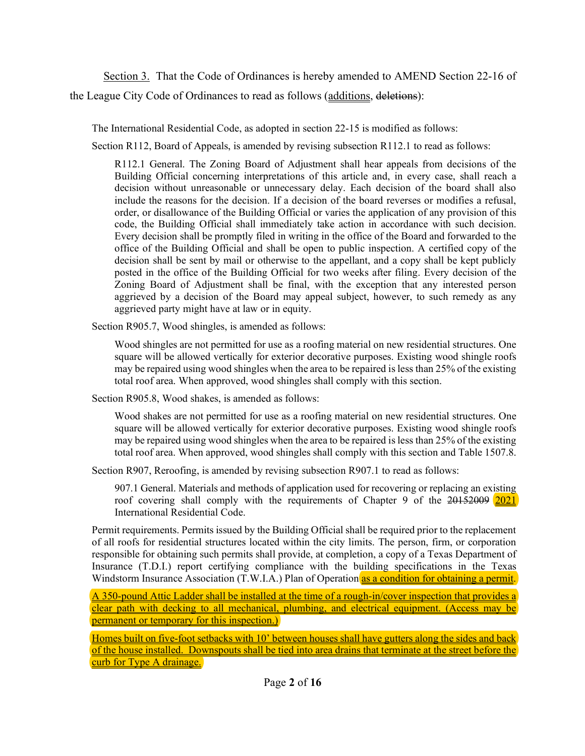Section 3. That the Code of Ordinances is hereby amended to AMEND Section 22-16 of the League City Code of Ordinances to read as follows (additions, deletions):

The International Residential Code, as adopted in section 22-15 is modified as follows:

Section R112, Board of Appeals, is amended by revising subsection R112.1 to read as follows:

R112.1 General. The Zoning Board of Adjustment shall hear appeals from decisions of the Building Official concerning interpretations of this article and, in every case, shall reach a decision without unreasonable or unnecessary delay. Each decision of the board shall also include the reasons for the decision. If a decision of the board reverses or modifies a refusal, order, or disallowance of the Building Official or varies the application of any provision of this code, the Building Official shall immediately take action in accordance with such decision. Every decision shall be promptly filed in writing in the office of the Board and forwarded to the office of the Building Official and shall be open to public inspection. A certified copy of the decision shall be sent by mail or otherwise to the appellant, and a copy shall be kept publicly posted in the office of the Building Official for two weeks after filing. Every decision of the Zoning Board of Adjustment shall be final, with the exception that any interested person aggrieved by a decision of the Board may appeal subject, however, to such remedy as any aggrieved party might have at law or in equity.

Section R905.7, Wood shingles, is amended as follows:

Wood shingles are not permitted for use as a roofing material on new residential structures. One square will be allowed vertically for exterior decorative purposes. Existing wood shingle roofs may be repaired using wood shingles when the area to be repaired is less than 25% of the existing total roof area. When approved, wood shingles shall comply with this section.

Section R905.8, Wood shakes, is amended as follows:

Wood shakes are not permitted for use as a roofing material on new residential structures. One square will be allowed vertically for exterior decorative purposes. Existing wood shingle roofs may be repaired using wood shingles when the area to be repaired is less than 25% of the existing total roof area. When approved, wood shingles shall comply with this section and Table 1507.8.

Section R907, Reroofing, is amended by revising subsection R907.1 to read as follows:

907.1 General. Materials and methods of application used for recovering or replacing an existing roof covering shall comply with the requirements of Chapter 9 of the 20152009 2021 International Residential Code.

Permit requirements. Permits issued by the Building Official shall be required prior to the replacement of all roofs for residential structures located within the city limits. The person, firm, or corporation responsible for obtaining such permits shall provide, at completion, a copy of a Texas Department of Insurance (T.D.I.) report certifying compliance with the building specifications in the Texas Windstorm Insurance Association (T.W.I.A.) Plan of Operation as a condition for obtaining a permit.

A 350-pound Attic Ladder shall be installed at the time of a rough-in/cover inspection that provides a clear path with decking to all mechanical, plumbing, and electrical equipment. (Access may be permanent or temporary for this inspection.)

Homes built on five-foot setbacks with 10' between houses shall have gutters along the sides and back of the house installed. Downspouts shall be tied into area drains that terminate at the street before the curb for Type A drainage.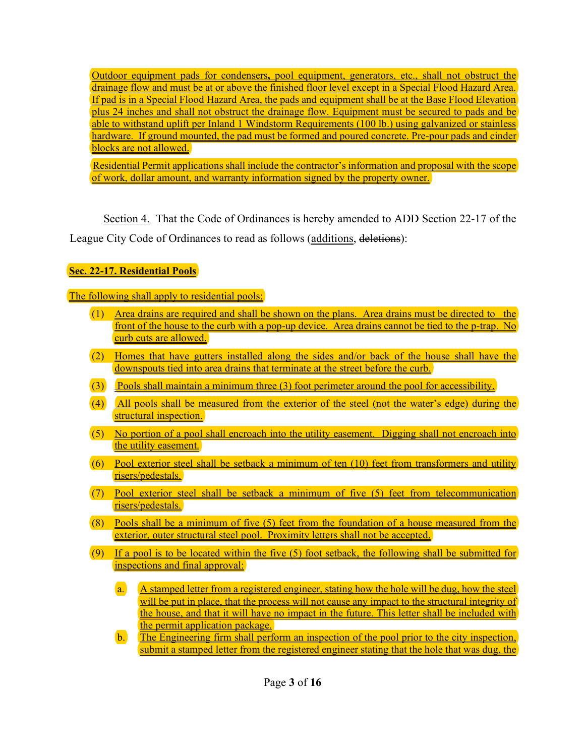Outdoor equipment pads for condensers**,** pool equipment, generators, etc., shall not obstruct the drainage flow and must be at or above the finished floor level except in a Special Flood Hazard Area. If pad is in a Special Flood Hazard Area, the pads and equipment shall be at the Base Flood Elevation plus 24 inches and shall not obstruct the drainage flow. Equipment must be secured to pads and be able to withstand uplift per Inland 1 Windstorm Requirements (100 lb.) using galvanized or stainless hardware. If ground mounted, the pad must be formed and poured concrete. Pre-pour pads and cinder blocks are not allowed.

 Residential Permit applications shall include the contractor's information and proposal with the scope of work, dollar amount, and warranty information signed by the property owner.

Section 4. That the Code of Ordinances is hereby amended to ADD Section 22-17 of the League City Code of Ordinances to read as follows (additions, deletions):

# **Sec. 22-17. Residential Pools**

The following shall apply to residential pools:

- (1) Area drains are required and shall be shown on the plans. Area drains must be directed to the front of the house to the curb with a pop-up device. Area drains cannot be tied to the p-trap. No curb cuts are allowed.
- (2) Homes that have gutters installed along the sides and/or back of the house shall have the downspouts tied into area drains that terminate at the street before the curb.
- $(3)$  Pools shall maintain a minimum three  $(3)$  foot perimeter around the pool for accessibility.
- (4) All pools shall be measured from the exterior of the steel (not the water's edge) during the structural inspection.
- (5) No portion of a pool shall encroach into the utility easement. Digging shall not encroach into the utility easement.
- $(6)$  Pool exterior steel shall be setback a minimum of ten  $(10)$  feet from transformers and utility risers/pedestals.
- (7) Pool exterior steel shall be setback a minimum of five (5) feet from telecommunication risers/pedestals.
- (8) Pools shall be a minimum of five (5) feet from the foundation of a house measured from the exterior, outer structural steel pool. Proximity letters shall not be accepted.
- $(9)$  If a pool is to be located within the five (5) foot setback, the following shall be submitted for inspections and final approval:
	- a. A stamped letter from a registered engineer, stating how the hole will be dug, how the steel will be put in place, that the process will not cause any impact to the structural integrity of the house, and that it will have no impact in the future. This letter shall be included with the permit application package.
	- b. The Engineering firm shall perform an inspection of the pool prior to the city inspection, submit a stamped letter from the registered engineer stating that the hole that was dug, the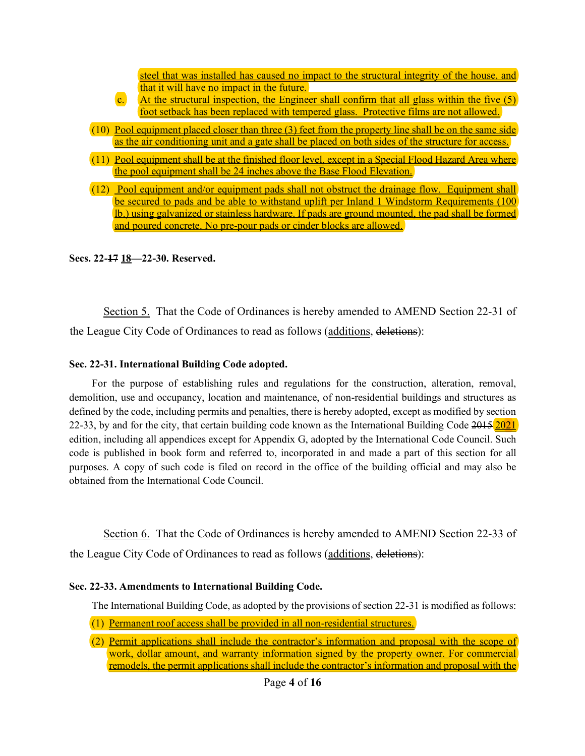| steel that was installed has caused no impact to the structural integrity of the house, and                                                                                                                                                                                                                        |
|--------------------------------------------------------------------------------------------------------------------------------------------------------------------------------------------------------------------------------------------------------------------------------------------------------------------|
| that it will have no impact in the future.                                                                                                                                                                                                                                                                         |
| $\mathbf{c}$ .<br>At the structural inspection, the Engineer shall confirm that all glass within the five (5)                                                                                                                                                                                                      |
| foot setback has been replaced with tempered glass. Protective films are not allowed.                                                                                                                                                                                                                              |
| (10) Pool equipment placed closer than three (3) feet from the property line shall be on the same side<br>as the air conditioning unit and a gate shall be placed on both sides of the structure for access.                                                                                                       |
| <u>Pool equipment shall be at the finished floor level, except in a Special Flood Hazard Area where</u><br>the pool equipment shall be 24 inches above the Base Flood Elevation.                                                                                                                                   |
| <u>Pool equipment and/or equipment pads shall not obstruct the drainage flow. Equipment shall</u><br><u>be secured to pads and be able to withstand uplift per Inland 1 Windstorm Requirements (100</u><br><u>lb.) using galvanized or stainless hardware. If pads are ground mounted, the pad shall be formed</u> |
| and poured concrete. No pre-pour pads or cinder blocks are allowed.                                                                                                                                                                                                                                                |

#### **Secs. 22-17 18—22-30. Reserved.**

Section 5. That the Code of Ordinances is hereby amended to AMEND Section 22-31 of the League City Code of Ordinances to read as follows (additions, deletions):

## **Sec. 22-31. International Building Code adopted.**

For the purpose of establishing rules and regulations for the construction, alteration, removal, demolition, use and occupancy, location and maintenance, of non-residential buildings and structures as defined by the code, including permits and penalties, there is hereby adopted, except as modified by section 22-33, by and for the city, that certain building code known as the International Building Code 2015 2021 edition, including all appendices except for Appendix G, adopted by the International Code Council. Such code is published in book form and referred to, incorporated in and made a part of this section for all purposes. A copy of such code is filed on record in the office of the building official and may also be obtained from the International Code Council.

Section 6. That the Code of Ordinances is hereby amended to AMEND Section 22-33 of the League City Code of Ordinances to read as follows (additions, deletions):

#### **Sec. 22-33. Amendments to International Building Code.**

The International Building Code, as adopted by the provisions of section 22-31 is modified as follows:

- (1) Permanent roof access shall be provided in all non-residential structures.
- (2) Permit applications shall include the contractor's information and proposal with the scope of work, dollar amount, and warranty information signed by the property owner. For commercial remodels, the permit applications shall include the contractor's information and proposal with the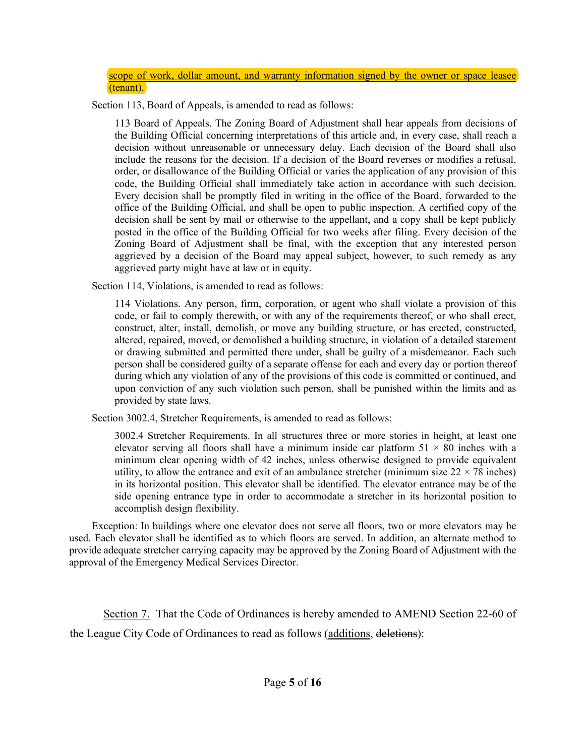scope of work, dollar amount, and warranty information signed by the owner or space leasee (tenant).

Section 113, Board of Appeals, is amended to read as follows:

113 Board of Appeals. The Zoning Board of Adjustment shall hear appeals from decisions of the Building Official concerning interpretations of this article and, in every case, shall reach a decision without unreasonable or unnecessary delay. Each decision of the Board shall also include the reasons for the decision. If a decision of the Board reverses or modifies a refusal, order, or disallowance of the Building Official or varies the application of any provision of this code, the Building Official shall immediately take action in accordance with such decision. Every decision shall be promptly filed in writing in the office of the Board, forwarded to the office of the Building Official, and shall be open to public inspection. A certified copy of the decision shall be sent by mail or otherwise to the appellant, and a copy shall be kept publicly posted in the office of the Building Official for two weeks after filing. Every decision of the Zoning Board of Adjustment shall be final, with the exception that any interested person aggrieved by a decision of the Board may appeal subject, however, to such remedy as any aggrieved party might have at law or in equity.

Section 114, Violations, is amended to read as follows:

114 Violations. Any person, firm, corporation, or agent who shall violate a provision of this code, or fail to comply therewith, or with any of the requirements thereof, or who shall erect, construct, alter, install, demolish, or move any building structure, or has erected, constructed, altered, repaired, moved, or demolished a building structure, in violation of a detailed statement or drawing submitted and permitted there under, shall be guilty of a misdemeanor. Each such person shall be considered guilty of a separate offense for each and every day or portion thereof during which any violation of any of the provisions of this code is committed or continued, and upon conviction of any such violation such person, shall be punished within the limits and as provided by state laws.

Section 3002.4, Stretcher Requirements, is amended to read as follows:

3002.4 Stretcher Requirements. In all structures three or more stories in height, at least one elevator serving all floors shall have a minimum inside car platform  $51 \times 80$  inches with a minimum clear opening width of 42 inches, unless otherwise designed to provide equivalent utility, to allow the entrance and exit of an ambulance stretcher (minimum size  $22 \times 78$  inches) in its horizontal position. This elevator shall be identified. The elevator entrance may be of the side opening entrance type in order to accommodate a stretcher in its horizontal position to accomplish design flexibility.

Exception: In buildings where one elevator does not serve all floors, two or more elevators may be used. Each elevator shall be identified as to which floors are served. In addition, an alternate method to provide adequate stretcher carrying capacity may be approved by the Zoning Board of Adjustment with the approval of the Emergency Medical Services Director.

Section 7. That the Code of Ordinances is hereby amended to AMEND Section 22-60 of the League City Code of Ordinances to read as follows (additions, deletions):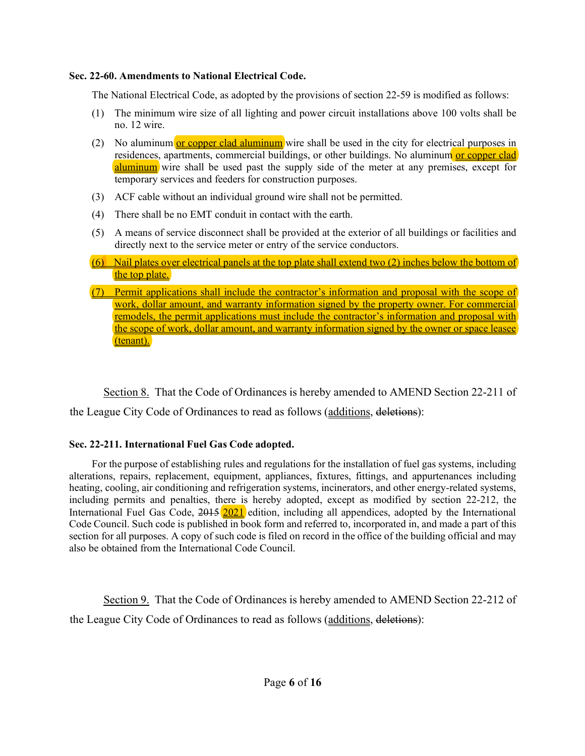## **Sec. 22-60. Amendments to National Electrical Code.**

The National Electrical Code, as adopted by the provisions of section 22-59 is modified as follows:

- (1) The minimum wire size of all lighting and power circuit installations above 100 volts shall be no. 12 wire.
- (2) No aluminum or copper clad aluminum wire shall be used in the city for electrical purposes in residences, apartments, commercial buildings, or other buildings. No aluminum or copper clad aluminum wire shall be used past the supply side of the meter at any premises, except for temporary services and feeders for construction purposes.
- (3) ACF cable without an individual ground wire shall not be permitted.
- (4) There shall be no EMT conduit in contact with the earth.
- (5) A means of service disconnect shall be provided at the exterior of all buildings or facilities and directly next to the service meter or entry of the service conductors.
- $(6)$  Nail plates over electrical panels at the top plate shall extend two (2) inches below the bottom of the top plate.
- (7) Permit applications shall include the contractor's information and proposal with the scope of work, dollar amount, and warranty information signed by the property owner. For commercial remodels, the permit applications must include the contractor's information and proposal with the scope of work, dollar amount, and warranty information signed by the owner or space leasee (tenant).

Section 8. That the Code of Ordinances is hereby amended to AMEND Section 22-211 of

the League City Code of Ordinances to read as follows (additions, deletions):

# **Sec. 22-211. International Fuel Gas Code adopted.**

For the purpose of establishing rules and regulations for the installation of fuel gas systems, including alterations, repairs, replacement, equipment, appliances, fixtures, fittings, and appurtenances including heating, cooling, air conditioning and refrigeration systems, incinerators, and other energy-related systems, including permits and penalties, there is hereby adopted, except as modified by section 22-212, the International Fuel Gas Code, 2015 2021 edition, including all appendices, adopted by the International Code Council. Such code is published in book form and referred to, incorporated in, and made a part of this section for all purposes. A copy of such code is filed on record in the office of the building official and may also be obtained from the International Code Council.

Section 9. That the Code of Ordinances is hereby amended to AMEND Section 22-212 of the League City Code of Ordinances to read as follows (additions, deletions):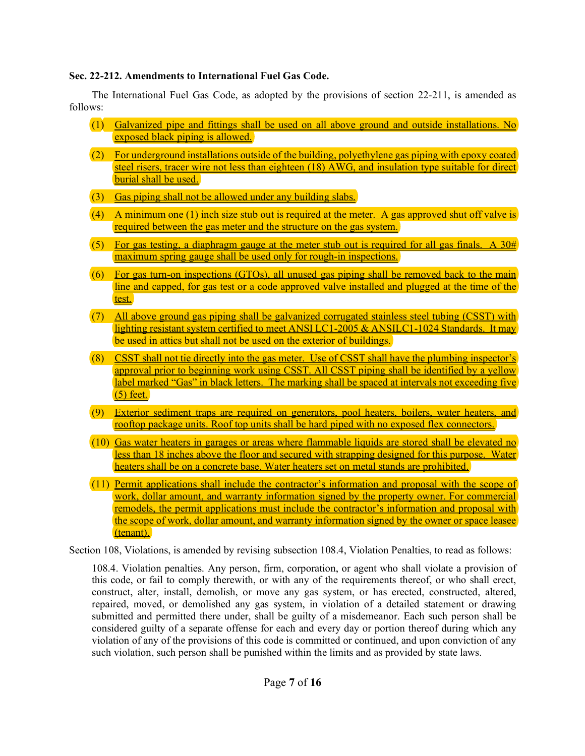## **Sec. 22-212. Amendments to International Fuel Gas Code.**

The International Fuel Gas Code, as adopted by the provisions of section 22-211, is amended as follows:

- (1) Galvanized pipe and fittings shall be used on all above ground and outside installations. No exposed black piping is allowed.
- (2) For underground installations outside of the building, polyethylene gas piping with epoxy coated steel risers, tracer wire not less than eighteen (18) AWG, and insulation type suitable for direct burial shall be used.
- (3) Gas piping shall not be allowed under any building slabs.
- (4) A minimum one (1) inch size stub out is required at the meter. A gas approved shut off valve is required between the gas meter and the structure on the gas system.
- (5) For gas testing, a diaphragm gauge at the meter stub out is required for all gas finals. A  $30#$ maximum spring gauge shall be used only for rough-in inspections.
- (6) For gas turn-on inspections (GTOs), all unused gas piping shall be removed back to the main line and capped, for gas test or a code approved valve installed and plugged at the time of the test.
- (7) All above ground gas piping shall be galvanized corrugated stainless steel tubing (CSST) with lighting resistant system certified to meet ANSI LC1-2005 & ANSILC1-1024 Standards. It may be used in attics but shall not be used on the exterior of buildings.
- $(8)$  CSST shall not tie directly into the gas meter. Use of CSST shall have the plumbing inspector's approval prior to beginning work using CSST. All CSST piping shall be identified by a yellow label marked "Gas" in black letters. The marking shall be spaced at intervals not exceeding five  $(5)$  feet.
- (9) Exterior sediment traps are required on generators, pool heaters, boilers, water heaters, and rooftop package units. Roof top units shall be hard piped with no exposed flex connectors.
- (10) Gas water heaters in garages or areas where flammable liquids are stored shall be elevated no less than 18 inches above the floor and secured with strapping designed for this purpose. Water heaters shall be on a concrete base. Water heaters set on metal stands are prohibited.
- (11) Permit applications shall include the contractor's information and proposal with the scope of work, dollar amount, and warranty information signed by the property owner. For commercial remodels, the permit applications must include the contractor's information and proposal with the scope of work, dollar amount, and warranty information signed by the owner or space leasee (tenant).

Section 108, Violations, is amended by revising subsection 108.4, Violation Penalties, to read as follows:

108.4. Violation penalties. Any person, firm, corporation, or agent who shall violate a provision of this code, or fail to comply therewith, or with any of the requirements thereof, or who shall erect, construct, alter, install, demolish, or move any gas system, or has erected, constructed, altered, repaired, moved, or demolished any gas system, in violation of a detailed statement or drawing submitted and permitted there under, shall be guilty of a misdemeanor. Each such person shall be considered guilty of a separate offense for each and every day or portion thereof during which any violation of any of the provisions of this code is committed or continued, and upon conviction of any such violation, such person shall be punished within the limits and as provided by state laws.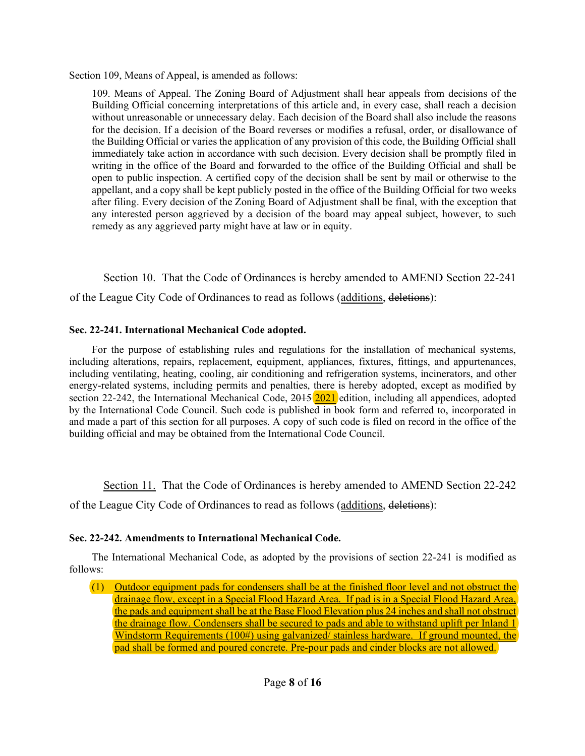Section 109, Means of Appeal, is amended as follows:

109. Means of Appeal. The Zoning Board of Adjustment shall hear appeals from decisions of the Building Official concerning interpretations of this article and, in every case, shall reach a decision without unreasonable or unnecessary delay. Each decision of the Board shall also include the reasons for the decision. If a decision of the Board reverses or modifies a refusal, order, or disallowance of the Building Official or varies the application of any provision of this code, the Building Official shall immediately take action in accordance with such decision. Every decision shall be promptly filed in writing in the office of the Board and forwarded to the office of the Building Official and shall be open to public inspection. A certified copy of the decision shall be sent by mail or otherwise to the appellant, and a copy shall be kept publicly posted in the office of the Building Official for two weeks after filing. Every decision of the Zoning Board of Adjustment shall be final, with the exception that any interested person aggrieved by a decision of the board may appeal subject, however, to such remedy as any aggrieved party might have at law or in equity.

Section 10. That the Code of Ordinances is hereby amended to AMEND Section 22-241 of the League City Code of Ordinances to read as follows (additions, deletions):

## **Sec. 22-241. International Mechanical Code adopted.**

For the purpose of establishing rules and regulations for the installation of mechanical systems, including alterations, repairs, replacement, equipment, appliances, fixtures, fittings, and appurtenances, including ventilating, heating, cooling, air conditioning and refrigeration systems, incinerators, and other energy-related systems, including permits and penalties, there is hereby adopted, except as modified by section 22-242, the International Mechanical Code,  $2015$   $2021$  edition, including all appendices, adopted by the International Code Council. Such code is published in book form and referred to, incorporated in and made a part of this section for all purposes. A copy of such code is filed on record in the office of the building official and may be obtained from the International Code Council.

Section 11. That the Code of Ordinances is hereby amended to AMEND Section 22-242

of the League City Code of Ordinances to read as follows (additions, deletions):

# **Sec. 22-242. Amendments to International Mechanical Code.**

The International Mechanical Code, as adopted by the provisions of section 22-241 is modified as follows:

(1) Outdoor equipment pads for condensers shall be at the finished floor level and not obstruct the drainage flow, except in a Special Flood Hazard Area. If pad is in a Special Flood Hazard Area, the pads and equipment shall be at the Base Flood Elevation plus 24 inches and shall not obstruct the drainage flow. Condensers shall be secured to pads and able to withstand uplift per Inland 1 Windstorm Requirements (100#) using galvanized/ stainless hardware. If ground mounted, the pad shall be formed and poured concrete. Pre-pour pads and cinder blocks are not allowed.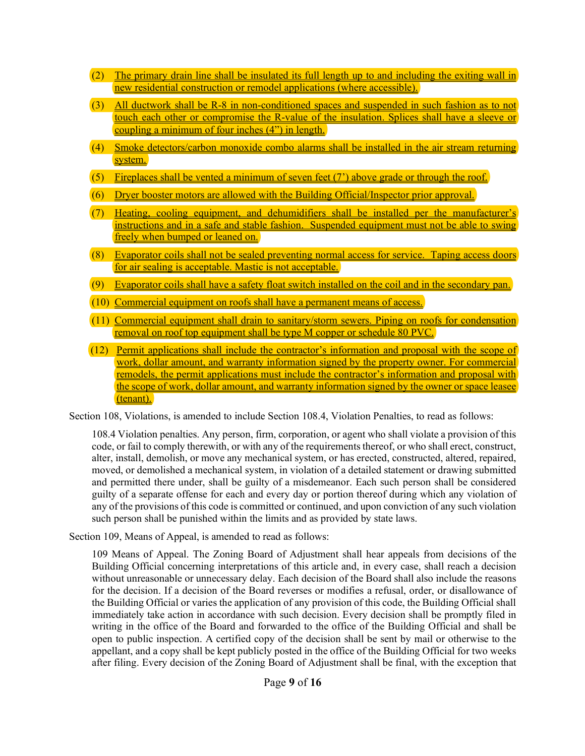- (2) The primary drain line shall be insulated its full length up to and including the exiting wall in new residential construction or remodel applications (where accessible).
- (3) All ductwork shall be R-8 in non-conditioned spaces and suspended in such fashion as to not touch each other or compromise the R-value of the insulation. Splices shall have a sleeve or coupling a minimum of four inches (4") in length.
- (4) Smoke detectors/carbon monoxide combo alarms shall be installed in the air stream returning system.
- (5) Fireplaces shall be vented a minimum of seven feet  $(7)$  above grade or through the roof.
- (6) Dryer booster motors are allowed with the Building Official/Inspector prior approval.
- (7) Heating, cooling equipment, and dehumidifiers shall be installed per the manufacturer's instructions and in a safe and stable fashion. Suspended equipment must not be able to swing freely when bumped or leaned on.
- (8) Evaporator coils shall not be sealed preventing normal access for service. Taping access doors for air sealing is acceptable. Mastic is not acceptable.
- (9) Evaporator coils shall have a safety float switch installed on the coil and in the secondary pan.
- (10) Commercial equipment on roofs shall have a permanent means of access.
- (11) Commercial equipment shall drain to sanitary/storm sewers. Piping on roofs for condensation removal on roof top equipment shall be type M copper or schedule 80 PVC.
- (12) Permit applications shall include the contractor's information and proposal with the scope of work, dollar amount, and warranty information signed by the property owner. For commercial remodels, the permit applications must include the contractor's information and proposal with the scope of work, dollar amount, and warranty information signed by the owner or space leasee (tenant).

Section 108, Violations, is amended to include Section 108.4, Violation Penalties, to read as follows:

108.4 Violation penalties. Any person, firm, corporation, or agent who shall violate a provision of this code, or fail to comply therewith, or with any of the requirements thereof, or who shall erect, construct, alter, install, demolish, or move any mechanical system, or has erected, constructed, altered, repaired, moved, or demolished a mechanical system, in violation of a detailed statement or drawing submitted and permitted there under, shall be guilty of a misdemeanor. Each such person shall be considered guilty of a separate offense for each and every day or portion thereof during which any violation of any of the provisions of this code is committed or continued, and upon conviction of any such violation such person shall be punished within the limits and as provided by state laws.

Section 109, Means of Appeal, is amended to read as follows:

109 Means of Appeal. The Zoning Board of Adjustment shall hear appeals from decisions of the Building Official concerning interpretations of this article and, in every case, shall reach a decision without unreasonable or unnecessary delay. Each decision of the Board shall also include the reasons for the decision. If a decision of the Board reverses or modifies a refusal, order, or disallowance of the Building Official or varies the application of any provision of this code, the Building Official shall immediately take action in accordance with such decision. Every decision shall be promptly filed in writing in the office of the Board and forwarded to the office of the Building Official and shall be open to public inspection. A certified copy of the decision shall be sent by mail or otherwise to the appellant, and a copy shall be kept publicly posted in the office of the Building Official for two weeks after filing. Every decision of the Zoning Board of Adjustment shall be final, with the exception that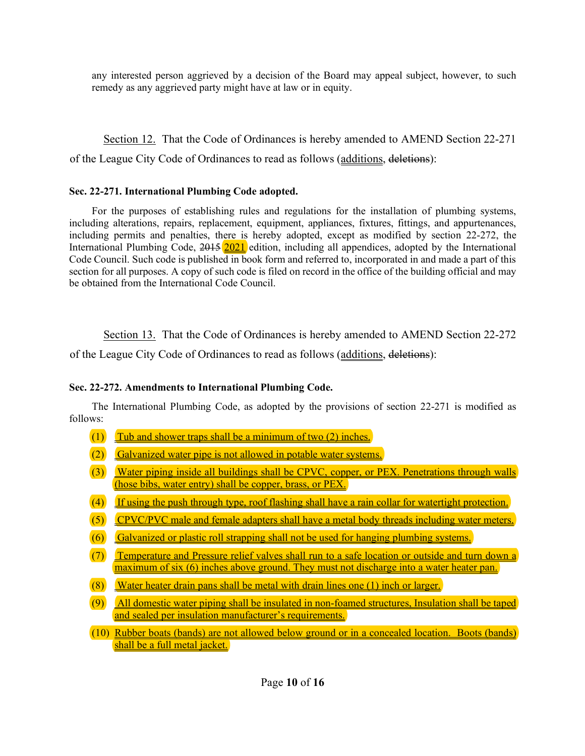any interested person aggrieved by a decision of the Board may appeal subject, however, to such remedy as any aggrieved party might have at law or in equity.

Section 12. That the Code of Ordinances is hereby amended to AMEND Section 22-271 of the League City Code of Ordinances to read as follows (additions, deletions):

#### **Sec. 22-271. International Plumbing Code adopted.**

For the purposes of establishing rules and regulations for the installation of plumbing systems, including alterations, repairs, replacement, equipment, appliances, fixtures, fittings, and appurtenances, including permits and penalties, there is hereby adopted, except as modified by section 22-272, the International Plumbing Code, 2015 2021 edition, including all appendices, adopted by the International Code Council. Such code is published in book form and referred to, incorporated in and made a part of this section for all purposes. A copy of such code is filed on record in the office of the building official and may be obtained from the International Code Council.

Section 13. That the Code of Ordinances is hereby amended to AMEND Section 22-272

of the League City Code of Ordinances to read as follows (additions, deletions):

#### **Sec. 22-272. Amendments to International Plumbing Code.**

The International Plumbing Code, as adopted by the provisions of section 22-271 is modified as follows:

- (1) Tub and shower traps shall be a minimum of two  $(2)$  inches.
- (2) Galvanized water pipe is not allowed in potable water systems.
- (3) Water piping inside all buildings shall be CPVC, copper, or PEX. Penetrations through walls (hose bibs, water entry) shall be copper, brass, or PEX.
- (4) If using the push through type, roof flashing shall have a rain collar for watertight protection.
- (5) CPVC/PVC male and female adapters shall have a metal body threads including water meters.
- (6) Galvanized or plastic roll strapping shall not be used for hanging plumbing systems.
- (7) Temperature and Pressure relief valves shall run to a safe location or outside and turn down a maximum of six (6) inches above ground. They must not discharge into a water heater pan.
- (8) Water heater drain pans shall be metal with drain lines one (1) inch or larger.
- (9) All domestic water piping shall be insulated in non-foamed structures, Insulation shall be taped and sealed per insulation manufacturer's requirements.
- (10) Rubber boats (bands) are not allowed below ground or in a concealed location. Boots (bands) shall be a full metal jacket.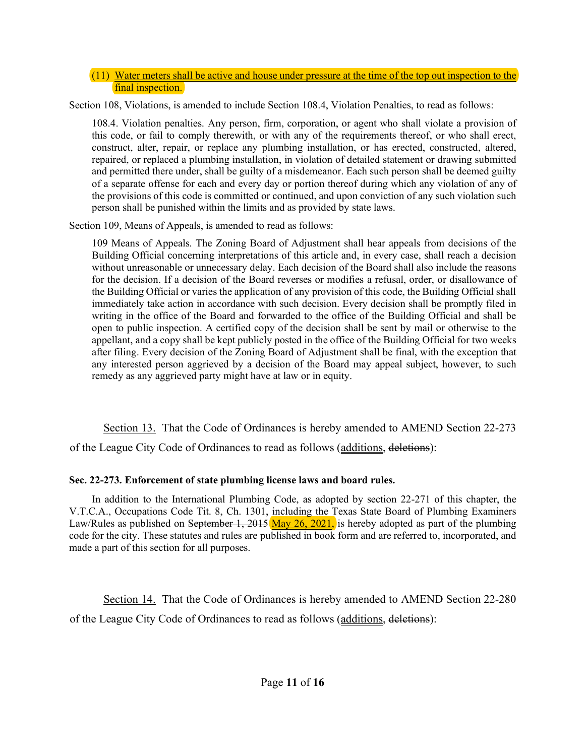#### $(11)$  Water meters shall be active and house under pressure at the time of the top out inspection to the final inspection.

Section 108, Violations, is amended to include Section 108.4, Violation Penalties, to read as follows:

108.4. Violation penalties. Any person, firm, corporation, or agent who shall violate a provision of this code, or fail to comply therewith, or with any of the requirements thereof, or who shall erect, construct, alter, repair, or replace any plumbing installation, or has erected, constructed, altered, repaired, or replaced a plumbing installation, in violation of detailed statement or drawing submitted and permitted there under, shall be guilty of a misdemeanor. Each such person shall be deemed guilty of a separate offense for each and every day or portion thereof during which any violation of any of the provisions of this code is committed or continued, and upon conviction of any such violation such person shall be punished within the limits and as provided by state laws.

Section 109, Means of Appeals, is amended to read as follows:

109 Means of Appeals. The Zoning Board of Adjustment shall hear appeals from decisions of the Building Official concerning interpretations of this article and, in every case, shall reach a decision without unreasonable or unnecessary delay. Each decision of the Board shall also include the reasons for the decision. If a decision of the Board reverses or modifies a refusal, order, or disallowance of the Building Official or varies the application of any provision of this code, the Building Official shall immediately take action in accordance with such decision. Every decision shall be promptly filed in writing in the office of the Board and forwarded to the office of the Building Official and shall be open to public inspection. A certified copy of the decision shall be sent by mail or otherwise to the appellant, and a copy shall be kept publicly posted in the office of the Building Official for two weeks after filing. Every decision of the Zoning Board of Adjustment shall be final, with the exception that any interested person aggrieved by a decision of the Board may appeal subject, however, to such remedy as any aggrieved party might have at law or in equity.

Section 13. That the Code of Ordinances is hereby amended to AMEND Section 22-273 of the League City Code of Ordinances to read as follows (additions, deletions):

# **Sec. 22-273. Enforcement of state plumbing license laws and board rules.**

In addition to the International Plumbing Code, as adopted by section 22-271 of this chapter, the V.T.C.A., Occupations Code Tit. 8, Ch. 1301, including the Texas State Board of Plumbing Examiners Law/Rules as published on September 1, 2015 May 26, 2021, is hereby adopted as part of the plumbing code for the city. These statutes and rules are published in book form and are referred to, incorporated, and made a part of this section for all purposes.

Section 14. That the Code of Ordinances is hereby amended to AMEND Section 22-280 of the League City Code of Ordinances to read as follows (additions, deletions):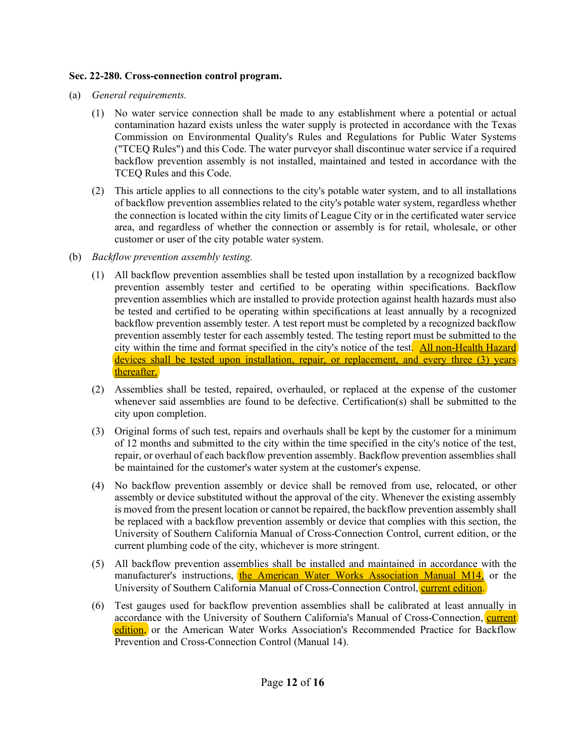# **Sec. 22-280. Cross-connection control program.**

- (a) *General requirements.*
	- (1) No water service connection shall be made to any establishment where a potential or actual contamination hazard exists unless the water supply is protected in accordance with the Texas Commission on Environmental Quality's Rules and Regulations for Public Water Systems ("TCEQ Rules") and this Code. The water purveyor shall discontinue water service if a required backflow prevention assembly is not installed, maintained and tested in accordance with the TCEQ Rules and this Code.
	- (2) This article applies to all connections to the city's potable water system, and to all installations of backflow prevention assemblies related to the city's potable water system, regardless whether the connection is located within the city limits of League City or in the certificated water service area, and regardless of whether the connection or assembly is for retail, wholesale, or other customer or user of the city potable water system.
- (b) *Backflow prevention assembly testing.*
	- (1) All backflow prevention assemblies shall be tested upon installation by a recognized backflow prevention assembly tester and certified to be operating within specifications. Backflow prevention assemblies which are installed to provide protection against health hazards must also be tested and certified to be operating within specifications at least annually by a recognized backflow prevention assembly tester. A test report must be completed by a recognized backflow prevention assembly tester for each assembly tested. The testing report must be submitted to the city within the time and format specified in the city's notice of the test. All non-Health Hazard devices shall be tested upon installation, repair, or replacement, and every three (3) years thereafter.
	- (2) Assemblies shall be tested, repaired, overhauled, or replaced at the expense of the customer whenever said assemblies are found to be defective. Certification(s) shall be submitted to the city upon completion.
	- (3) Original forms of such test, repairs and overhauls shall be kept by the customer for a minimum of 12 months and submitted to the city within the time specified in the city's notice of the test, repair, or overhaul of each backflow prevention assembly. Backflow prevention assemblies shall be maintained for the customer's water system at the customer's expense.
	- (4) No backflow prevention assembly or device shall be removed from use, relocated, or other assembly or device substituted without the approval of the city. Whenever the existing assembly is moved from the present location or cannot be repaired, the backflow prevention assembly shall be replaced with a backflow prevention assembly or device that complies with this section, the University of Southern California Manual of Cross-Connection Control, current edition, or the current plumbing code of the city, whichever is more stringent.
	- (5) All backflow prevention assemblies shall be installed and maintained in accordance with the manufacturer's instructions, the American Water Works Association Manual M14, or the University of Southern California Manual of Cross-Connection Control, current edition.
	- (6) Test gauges used for backflow prevention assemblies shall be calibrated at least annually in accordance with the University of Southern California's Manual of Cross-Connection, current edition, or the American Water Works Association's Recommended Practice for Backflow Prevention and Cross-Connection Control (Manual 14).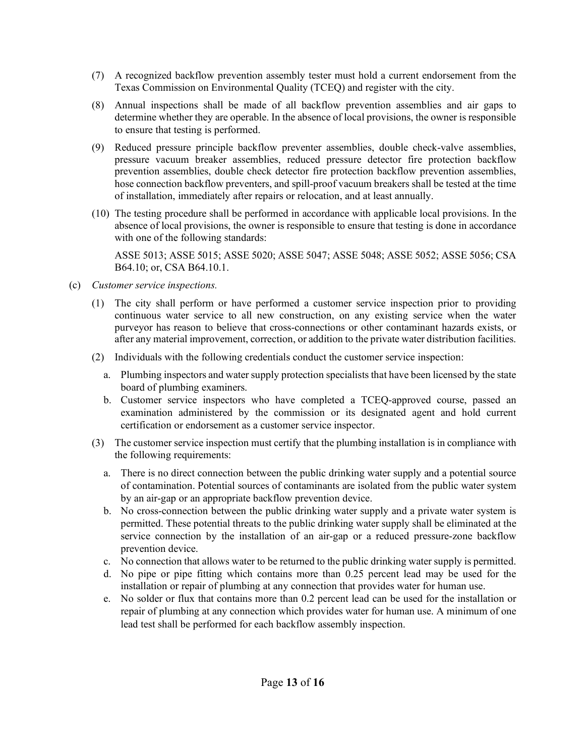- (7) A recognized backflow prevention assembly tester must hold a current endorsement from the Texas Commission on Environmental Quality (TCEQ) and register with the city.
- (8) Annual inspections shall be made of all backflow prevention assemblies and air gaps to determine whether they are operable. In the absence of local provisions, the owner is responsible to ensure that testing is performed.
- (9) Reduced pressure principle backflow preventer assemblies, double check-valve assemblies, pressure vacuum breaker assemblies, reduced pressure detector fire protection backflow prevention assemblies, double check detector fire protection backflow prevention assemblies, hose connection backflow preventers, and spill-proof vacuum breakers shall be tested at the time of installation, immediately after repairs or relocation, and at least annually.
- (10) The testing procedure shall be performed in accordance with applicable local provisions. In the absence of local provisions, the owner is responsible to ensure that testing is done in accordance with one of the following standards:

ASSE 5013; ASSE 5015; ASSE 5020; ASSE 5047; ASSE 5048; ASSE 5052; ASSE 5056; CSA B64.10; or, CSA B64.10.1.

- (c) *Customer service inspections.*
	- (1) The city shall perform or have performed a customer service inspection prior to providing continuous water service to all new construction, on any existing service when the water purveyor has reason to believe that cross-connections or other contaminant hazards exists, or after any material improvement, correction, or addition to the private water distribution facilities.
	- (2) Individuals with the following credentials conduct the customer service inspection:
		- a. Plumbing inspectors and water supply protection specialists that have been licensed by the state board of plumbing examiners.
		- b. Customer service inspectors who have completed a TCEQ-approved course, passed an examination administered by the commission or its designated agent and hold current certification or endorsement as a customer service inspector.
	- (3) The customer service inspection must certify that the plumbing installation is in compliance with the following requirements:
		- a. There is no direct connection between the public drinking water supply and a potential source of contamination. Potential sources of contaminants are isolated from the public water system by an air-gap or an appropriate backflow prevention device.
		- b. No cross-connection between the public drinking water supply and a private water system is permitted. These potential threats to the public drinking water supply shall be eliminated at the service connection by the installation of an air-gap or a reduced pressure-zone backflow prevention device.
		- c. No connection that allows water to be returned to the public drinking water supply is permitted.
		- d. No pipe or pipe fitting which contains more than 0.25 percent lead may be used for the installation or repair of plumbing at any connection that provides water for human use.
		- e. No solder or flux that contains more than 0.2 percent lead can be used for the installation or repair of plumbing at any connection which provides water for human use. A minimum of one lead test shall be performed for each backflow assembly inspection.